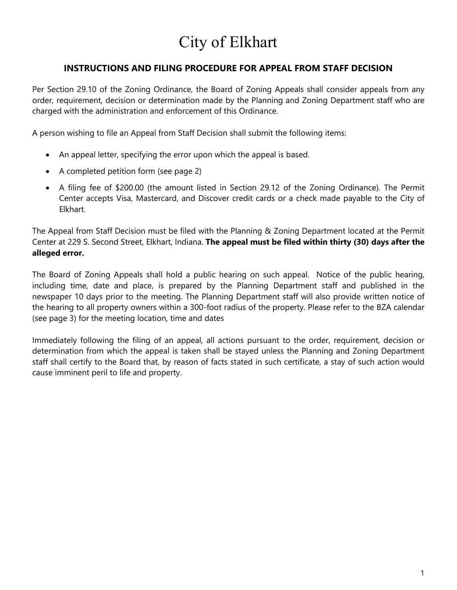# City of Elkhart

### **INSTRUCTIONS AND FILING PROCEDURE FOR APPEAL FROM STAFF DECISION**

Per Section 29.10 of the Zoning Ordinance, the Board of Zoning Appeals shall consider appeals from any order, requirement, decision or determination made by the Planning and Zoning Department staff who are charged with the administration and enforcement of this Ordinance.

A person wishing to file an Appeal from Staff Decision shall submit the following items:

- An appeal letter, specifying the error upon which the appeal is based.
- A completed petition form (see page 2)
- A filing fee of \$200.00 (the amount listed in Section 29.12 of the Zoning Ordinance). The Permit Center accepts Visa, Mastercard, and Discover credit cards or a check made payable to the City of Elkhart.

The Appeal from Staff Decision must be filed with the Planning & Zoning Department located at the Permit Center at 229 S. Second Street, Elkhart, Indiana. **The appeal must be filed within thirty (30) days after the alleged error.**

The Board of Zoning Appeals shall hold a public hearing on such appeal. Notice of the public hearing, including time, date and place, is prepared by the Planning Department staff and published in the newspaper 10 days prior to the meeting. The Planning Department staff will also provide written notice of the hearing to all property owners within a 300-foot radius of the property. Please refer to the BZA calendar (see page 3) for the meeting location, time and dates

Immediately following the filing of an appeal, all actions pursuant to the order, requirement, decision or determination from which the appeal is taken shall be stayed unless the Planning and Zoning Department staff shall certify to the Board that, by reason of facts stated in such certificate, a stay of such action would cause imminent peril to life and property.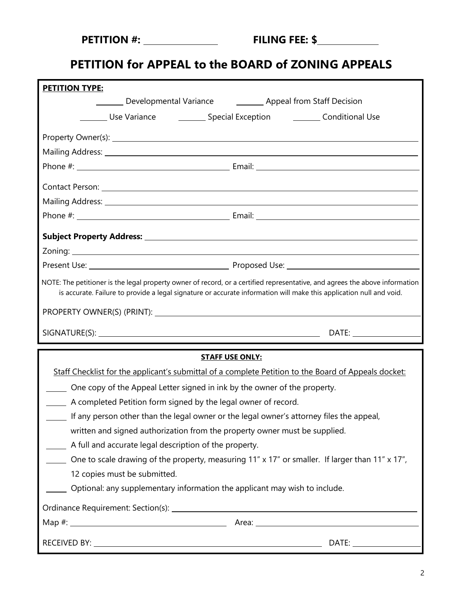| <b>PETITION #:</b> |
|--------------------|
|--------------------|

## **PETITION for APPEAL to the BOARD of ZONING APPEALS**

| <b>PETITION TYPE:</b>                                                                                                                                                                                                                              |                                                                                                      |
|----------------------------------------------------------------------------------------------------------------------------------------------------------------------------------------------------------------------------------------------------|------------------------------------------------------------------------------------------------------|
| Developmental Variance <b>Common Stam Stam Decition</b>                                                                                                                                                                                            |                                                                                                      |
|                                                                                                                                                                                                                                                    | Use Variance <b>Conservation</b> Special Exception <b>Conservational Use</b>                         |
|                                                                                                                                                                                                                                                    |                                                                                                      |
| Mailing Address: 1988 Contract Contract Contract Contract Contract Contract Contract Contract Contract Contract Contract Contract Contract Contract Contract Contract Contract Contract Contract Contract Contract Contract Co                     |                                                                                                      |
|                                                                                                                                                                                                                                                    |                                                                                                      |
|                                                                                                                                                                                                                                                    | Contact Person: 2008 Contact Person: 2008 Contact Person: 2008 Contact Person: 2008 Contact Person:  |
|                                                                                                                                                                                                                                                    |                                                                                                      |
|                                                                                                                                                                                                                                                    |                                                                                                      |
|                                                                                                                                                                                                                                                    |                                                                                                      |
|                                                                                                                                                                                                                                                    |                                                                                                      |
|                                                                                                                                                                                                                                                    |                                                                                                      |
| NOTE: The petitioner is the legal property owner of record, or a certified representative, and agrees the above information<br>is accurate. Failure to provide a legal signature or accurate information will make this application null and void. |                                                                                                      |
|                                                                                                                                                                                                                                                    |                                                                                                      |
|                                                                                                                                                                                                                                                    |                                                                                                      |
| <b>STAFF USE ONLY:</b>                                                                                                                                                                                                                             |                                                                                                      |
|                                                                                                                                                                                                                                                    |                                                                                                      |
|                                                                                                                                                                                                                                                    | Staff Checklist for the applicant's submittal of a complete Petition to the Board of Appeals docket: |
| One copy of the Appeal Letter signed in ink by the owner of the property.                                                                                                                                                                          |                                                                                                      |
| A completed Petition form signed by the legal owner of record.                                                                                                                                                                                     |                                                                                                      |
| If any person other than the legal owner or the legal owner's attorney files the appeal,                                                                                                                                                           |                                                                                                      |
| written and signed authorization from the property owner must be supplied.                                                                                                                                                                         |                                                                                                      |
| A full and accurate legal description of the property.                                                                                                                                                                                             |                                                                                                      |
|                                                                                                                                                                                                                                                    | One to scale drawing of the property, measuring 11" x 17" or smaller. If larger than 11" x 17",      |
| 12 copies must be submitted.                                                                                                                                                                                                                       |                                                                                                      |
| Optional: any supplementary information the applicant may wish to include.                                                                                                                                                                         |                                                                                                      |
|                                                                                                                                                                                                                                                    |                                                                                                      |
|                                                                                                                                                                                                                                                    |                                                                                                      |